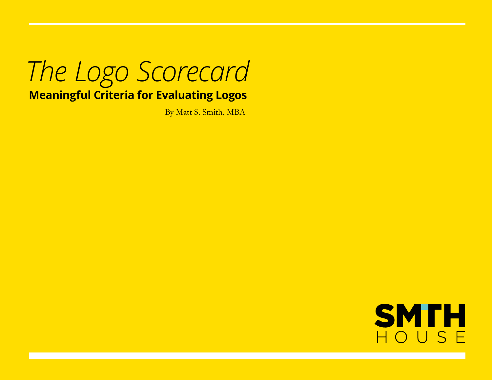### *The Logo Scorecard* **Meaningful Criteria for Evaluating Logos**

By Matt S. Smith, MBA

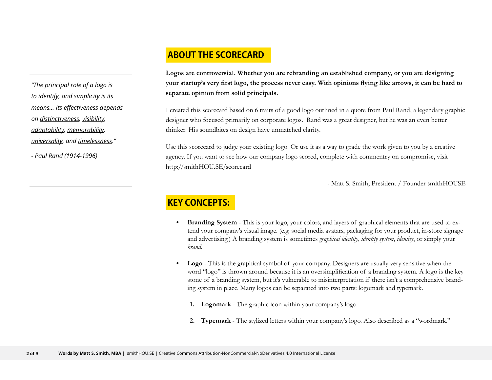#### **About the SCoreCard**

*"The principal role of a logo is to identify, and simplicity is its means... Its effectiveness depends on distinctiveness, visibility, adaptability, memorability, universality, and timelessness."* 

*- Paul Rand (1914-1996)*

**Logos are controversial. Whether you are rebranding an established company, or you are designing** your startup's very first logo, the process never easy. With opinions flying like arrows, it can be hard to **separate opinion from solid principals.**

I created this scorecard based on 6 traits of a good logo outlined in a quote from Paul Rand, a legendary graphic designer who focused primarily on corporate logos. Rand was a great designer, but he was an even better thinker. His soundbites on design have unmatched clarity.

Use this scorecard to judge your existing logo. Or use it as a way to grade the work given to you by a creative agency. If you want to see how our company logo scored, complete with commentry on compromise, visit http://smithHOU.SE/scorecard

- Matt S. Smith, President / Founder smithHOUSE

### **Key Concepts:**

- **Branding System** This is your logo, your colors, and layers of graphical elements that are used to extend your company's visual image. (e.g. social media avatars, packaging for your product, in-store signage and advertising.) A branding system is sometimes *graphical identity*, *identity system*, *identity*, or simply your *brand*.
- **Logo** This is the graphical symbol of your company. Designers are usually very sensitive when the word "logo" is thrown around because it is an oversimplification of a branding system. A logo is the key stone of a branding system, but it's vulnerable to misinterpretation if there isn't a comprehensive branding system in place. Many logos can be separated into two parts: logomark and typemark.
	- **1. Logomark** The graphic icon within your company's logo.
	- **2. Typemark** The stylized letters within your company's logo. Also described as a "wordmark."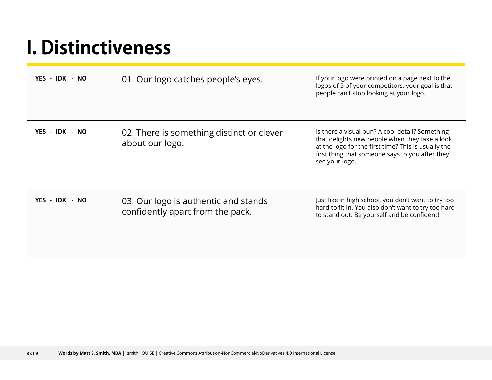### **I. Distinctiveness**

| YES - IDK - NO | 01. Our logo catches people's eyes.                                      | If your logo were printed on a page next to the<br>logos of 5 of your competitors, your goal is that<br>people can't stop looking at your logo.                                                                               |
|----------------|--------------------------------------------------------------------------|-------------------------------------------------------------------------------------------------------------------------------------------------------------------------------------------------------------------------------|
| YES - IDK - NO | 02. There is something distinct or clever<br>about our logo.             | Is there a visual pun? A cool detail? Something<br>that delights new people when they take a look<br>at the logo for the first time? This is usually the<br>first thing that someone says to you after they<br>see your logo. |
| YES - IDK - NO | 03. Our logo is authentic and stands<br>confidently apart from the pack. | Just like in high school, you don't want to try too<br>hard to fit in. You also don't want to try too hard<br>to stand out. Be yourself and be confident!                                                                     |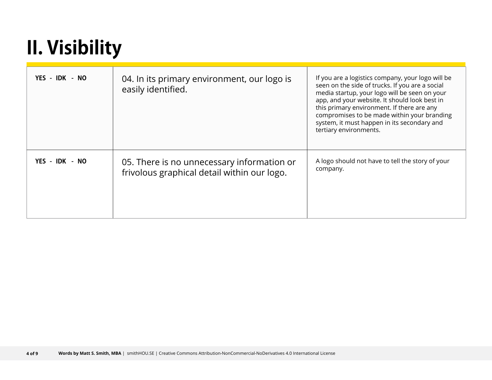## **II. Visibility**

| YES - IDK - NO | 04. In its primary environment, our logo is<br>easily identified.                         | If you are a logistics company, your logo will be<br>seen on the side of trucks. If you are a social<br>media startup, your logo will be seen on your<br>app, and your website. It should look best in<br>this primary environment. If there are any<br>compromises to be made within your branding<br>system, it must happen in its secondary and<br>tertiary environments. |
|----------------|-------------------------------------------------------------------------------------------|------------------------------------------------------------------------------------------------------------------------------------------------------------------------------------------------------------------------------------------------------------------------------------------------------------------------------------------------------------------------------|
| YES - IDK - NO | 05. There is no unnecessary information or<br>frivolous graphical detail within our logo. | A logo should not have to tell the story of your<br>company.                                                                                                                                                                                                                                                                                                                 |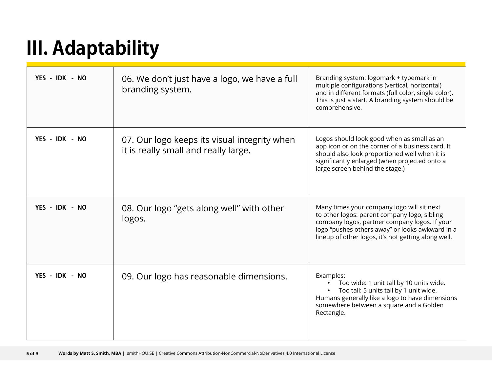# **III. Adaptability**

| YES - IDK - NO | 06. We don't just have a logo, we have a full<br>branding system.                    | Branding system: logomark + typemark in<br>multiple configurations (vertical, horizontal)<br>and in different formats (full color, single color).<br>This is just a start. A branding system should be<br>comprehensive.                              |
|----------------|--------------------------------------------------------------------------------------|-------------------------------------------------------------------------------------------------------------------------------------------------------------------------------------------------------------------------------------------------------|
| YES - IDK - NO | 07. Our logo keeps its visual integrity when<br>it is really small and really large. | Logos should look good when as small as an<br>app icon or on the corner of a business card. It<br>should also look proportioned well when it is<br>significantly enlarged (when projected onto a<br>large screen behind the stage.)                   |
| YES - IDK - NO | 08. Our logo "gets along well" with other<br>logos.                                  | Many times your company logo will sit next<br>to other logos: parent company logo, sibling<br>company logos, partner company logos. If your<br>logo "pushes others away" or looks awkward in a<br>lineup of other logos, it's not getting along well. |
| YES - IDK - NO | 09. Our logo has reasonable dimensions.                                              | Examples:<br>Too wide: 1 unit tall by 10 units wide.<br>• Too tall: 5 units tall by 1 unit wide.<br>Humans generally like a logo to have dimensions<br>somewhere between a square and a Golden<br>Rectangle.                                          |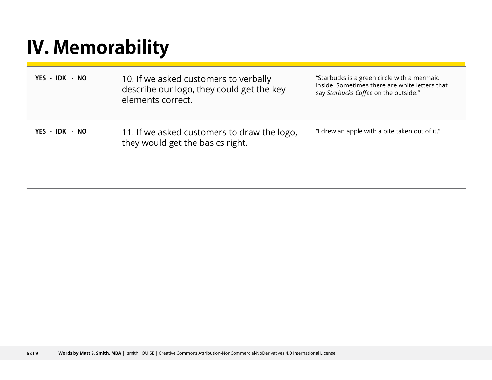## **IV. Memorability**

| YES - IDK - NO | 10. If we asked customers to verbally<br>describe our logo, they could get the key<br>elements correct. | "Starbucks is a green circle with a mermaid<br>inside. Sometimes there are white letters that<br>say Starbucks Coffee on the outside." |
|----------------|---------------------------------------------------------------------------------------------------------|----------------------------------------------------------------------------------------------------------------------------------------|
| YES - IDK - NO | 11. If we asked customers to draw the logo,<br>they would get the basics right.                         | "I drew an apple with a bite taken out of it."                                                                                         |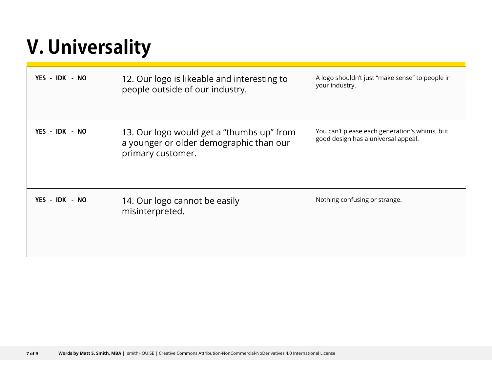## **V. Universality**

| YES - IDK - NO | 12. Our logo is likeable and interesting to<br>people outside of our industry.                            | A logo shouldn't just "make sense" to people in<br>your industry.                    |
|----------------|-----------------------------------------------------------------------------------------------------------|--------------------------------------------------------------------------------------|
| YES - IDK - NO | 13. Our logo would get a "thumbs up" from<br>a younger or older demographic than our<br>primary customer. | You can't please each generation's whims, but<br>good design has a universal appeal. |
| YES - IDK - NO | 14. Our logo cannot be easily<br>misinterpreted.                                                          | Nothing confusing or strange.                                                        |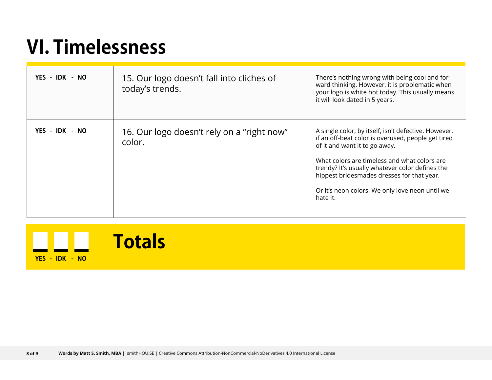### **VI. Timelessness**

| YES - IDK - NO | 15. Our logo doesn't fall into cliches of<br>today's trends. | There's nothing wrong with being cool and for-<br>ward thinking. However, it is problematic when<br>your logo is white hot today. This usually means<br>it will look dated in 5 years.                                                                                                                                                                      |
|----------------|--------------------------------------------------------------|-------------------------------------------------------------------------------------------------------------------------------------------------------------------------------------------------------------------------------------------------------------------------------------------------------------------------------------------------------------|
| YES - IDK - NO | 16. Our logo doesn't rely on a "right now"<br>color.         | A single color, by itself, isn't defective. However,<br>if an off-beat color is overused, people get tired<br>of it and want it to go away.<br>What colors are timeless and what colors are<br>trendy? It's usually whatever color defines the<br>hippest bridesmades dresses for that year.<br>Or it's neon colors. We only love neon until we<br>hate it. |